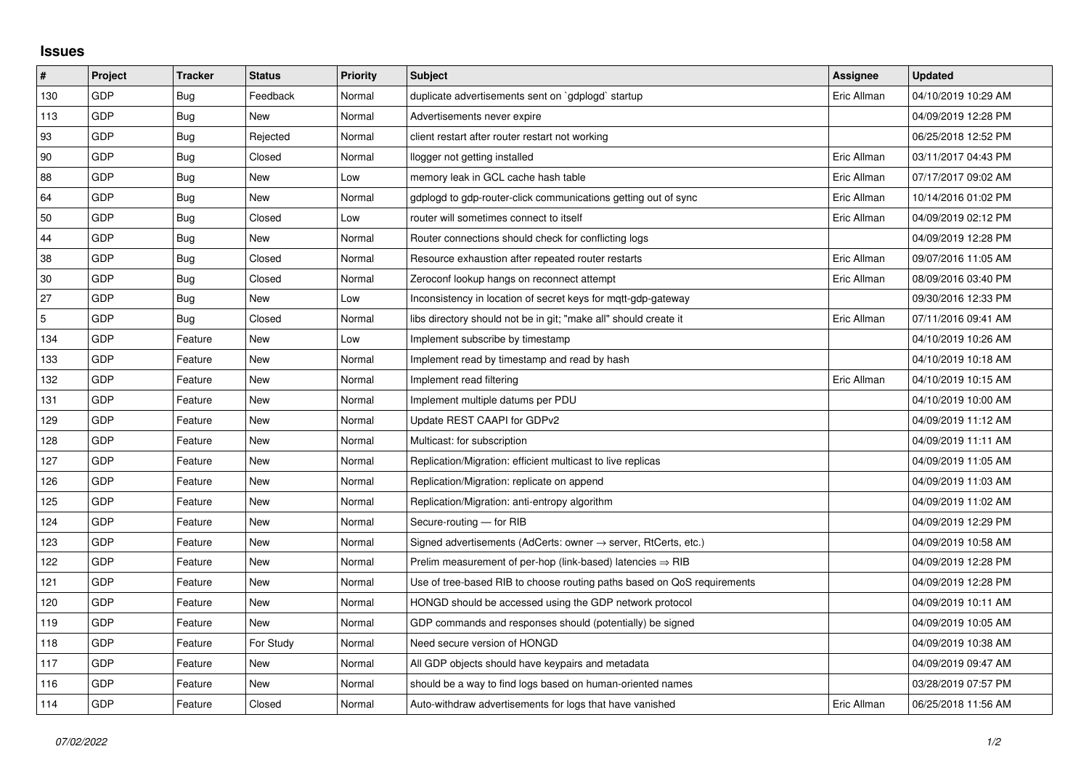## **Issues**

| $\pmb{\#}$  | Project | <b>Tracker</b> | <b>Status</b> | <b>Priority</b> | <b>Subject</b>                                                             | <b>Assignee</b> | <b>Updated</b>      |
|-------------|---------|----------------|---------------|-----------------|----------------------------------------------------------------------------|-----------------|---------------------|
| 130         | GDP     | Bug            | Feedback      | Normal          | duplicate advertisements sent on `gdplogd` startup                         | Eric Allman     | 04/10/2019 10:29 AM |
| 113         | GDP     | Bug            | New           | Normal          | Advertisements never expire                                                |                 | 04/09/2019 12:28 PM |
| 93          | GDP     | Bug            | Rejected      | Normal          | client restart after router restart not working                            |                 | 06/25/2018 12:52 PM |
| 90          | GDP     | Bug            | Closed        | Normal          | llogger not getting installed                                              | Eric Allman     | 03/11/2017 04:43 PM |
| 88          | GDP     | Bug            | New           | Low             | memory leak in GCL cache hash table                                        | Eric Allman     | 07/17/2017 09:02 AM |
| 64          | GDP     | Bug            | <b>New</b>    | Normal          | gdplogd to gdp-router-click communications getting out of sync             | Eric Allman     | 10/14/2016 01:02 PM |
| 50          | GDP     | Bug            | Closed        | Low             | router will sometimes connect to itself                                    | Eric Allman     | 04/09/2019 02:12 PM |
| 44          | GDP     | Bug            | New           | Normal          | Router connections should check for conflicting logs                       |                 | 04/09/2019 12:28 PM |
| 38          | GDP     | Bug            | Closed        | Normal          | Resource exhaustion after repeated router restarts                         | Eric Allman     | 09/07/2016 11:05 AM |
| 30          | GDP     | Bug            | Closed        | Normal          | Zeroconf lookup hangs on reconnect attempt                                 | Eric Allman     | 08/09/2016 03:40 PM |
| 27          | GDP     | Bug            | New           | Low             | Inconsistency in location of secret keys for mgtt-gdp-gateway              |                 | 09/30/2016 12:33 PM |
| $\mathbf 5$ | GDP     | <b>Bug</b>     | Closed        | Normal          | libs directory should not be in git; "make all" should create it           | Eric Allman     | 07/11/2016 09:41 AM |
| 134         | GDP     | Feature        | New           | Low             | Implement subscribe by timestamp                                           |                 | 04/10/2019 10:26 AM |
| 133         | GDP     | Feature        | <b>New</b>    | Normal          | Implement read by timestamp and read by hash                               |                 | 04/10/2019 10:18 AM |
| 132         | GDP     | Feature        | New           | Normal          | Implement read filtering                                                   | Eric Allman     | 04/10/2019 10:15 AM |
| 131         | GDP     | Feature        | New           | Normal          | Implement multiple datums per PDU                                          |                 | 04/10/2019 10:00 AM |
| 129         | GDP     | Feature        | <b>New</b>    | Normal          | Update REST CAAPI for GDPv2                                                |                 | 04/09/2019 11:12 AM |
| 128         | GDP     | Feature        | New           | Normal          | Multicast: for subscription                                                |                 | 04/09/2019 11:11 AM |
| 127         | GDP     | Feature        | New           | Normal          | Replication/Migration: efficient multicast to live replicas                |                 | 04/09/2019 11:05 AM |
| 126         | GDP     | Feature        | New           | Normal          | Replication/Migration: replicate on append                                 |                 | 04/09/2019 11:03 AM |
| 125         | GDP     | Feature        | New           | Normal          | Replication/Migration: anti-entropy algorithm                              |                 | 04/09/2019 11:02 AM |
| 124         | GDP     | Feature        | New           | Normal          | Secure-routing - for RIB                                                   |                 | 04/09/2019 12:29 PM |
| 123         | GDP     | Feature        | New           | Normal          | Signed advertisements (AdCerts: owner $\rightarrow$ server, RtCerts, etc.) |                 | 04/09/2019 10:58 AM |
| 122         | GDP     | Feature        | New           | Normal          | Prelim measurement of per-hop (link-based) latencies $\Rightarrow$ RIB     |                 | 04/09/2019 12:28 PM |
| 121         | GDP     | Feature        | <b>New</b>    | Normal          | Use of tree-based RIB to choose routing paths based on QoS requirements    |                 | 04/09/2019 12:28 PM |
| 120         | GDP     | Feature        | New           | Normal          | HONGD should be accessed using the GDP network protocol                    |                 | 04/09/2019 10:11 AM |
| 119         | GDP     | Feature        | New           | Normal          | GDP commands and responses should (potentially) be signed                  |                 | 04/09/2019 10:05 AM |
| 118         | GDP     | Feature        | For Study     | Normal          | Need secure version of HONGD                                               |                 | 04/09/2019 10:38 AM |
| 117         | GDP     | Feature        | <b>New</b>    | Normal          | All GDP objects should have keypairs and metadata                          |                 | 04/09/2019 09:47 AM |
| 116         | GDP     | Feature        | New           | Normal          | should be a way to find logs based on human-oriented names                 |                 | 03/28/2019 07:57 PM |
| 114         | GDP     | Feature        | Closed        | Normal          | Auto-withdraw advertisements for logs that have vanished                   | Eric Allman     | 06/25/2018 11:56 AM |